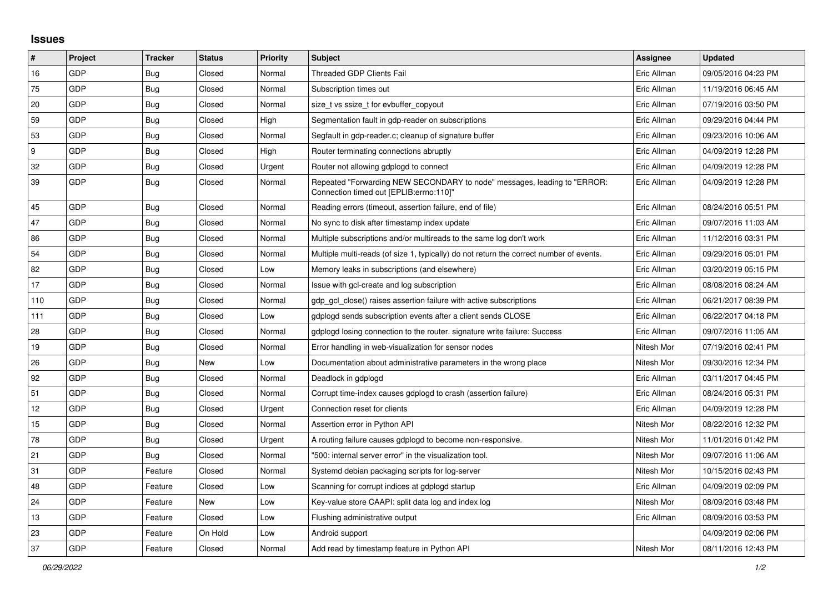## **Issues**

| $\vert$ # | Project    | <b>Tracker</b> | <b>Status</b> | <b>Priority</b> | <b>Subject</b>                                                                                                      | <b>Assignee</b> | <b>Updated</b>      |
|-----------|------------|----------------|---------------|-----------------|---------------------------------------------------------------------------------------------------------------------|-----------------|---------------------|
| 16        | GDP        | <b>Bug</b>     | Closed        | Normal          | <b>Threaded GDP Clients Fail</b>                                                                                    | Eric Allman     | 09/05/2016 04:23 PM |
| 75        | GDP        | <b>Bug</b>     | Closed        | Normal          | Subscription times out                                                                                              | Eric Allman     | 11/19/2016 06:45 AM |
| 20        | GDP        | Bug            | Closed        | Normal          | size t vs ssize t for evbuffer copyout                                                                              | Eric Allman     | 07/19/2016 03:50 PM |
| 59        | GDP        | Bug            | Closed        | High            | Segmentation fault in gdp-reader on subscriptions                                                                   | Eric Allman     | 09/29/2016 04:44 PM |
| 53        | GDP        | Bug            | Closed        | Normal          | Segfault in gdp-reader.c; cleanup of signature buffer                                                               | Eric Allman     | 09/23/2016 10:06 AM |
| 9         | GDP        | <b>Bug</b>     | Closed        | High            | Router terminating connections abruptly                                                                             | Eric Allman     | 04/09/2019 12:28 PM |
| 32        | <b>GDP</b> | <b>Bug</b>     | Closed        | Urgent          | Router not allowing gdplogd to connect                                                                              | Eric Allman     | 04/09/2019 12:28 PM |
| 39        | GDP        | Bug            | Closed        | Normal          | Repeated "Forwarding NEW SECONDARY to node" messages, leading to "ERROR:<br>Connection timed out [EPLIB:errno:110]" | Eric Allman     | 04/09/2019 12:28 PM |
| 45        | <b>GDP</b> | Bug            | Closed        | Normal          | Reading errors (timeout, assertion failure, end of file)                                                            | Eric Allman     | 08/24/2016 05:51 PM |
| 47        | GDP        | Bug            | Closed        | Normal          | No sync to disk after timestamp index update                                                                        | Eric Allman     | 09/07/2016 11:03 AM |
| 86        | GDP        | Bug            | Closed        | Normal          | Multiple subscriptions and/or multireads to the same log don't work                                                 | Eric Allman     | 11/12/2016 03:31 PM |
| 54        | <b>GDP</b> | <b>Bug</b>     | Closed        | Normal          | Multiple multi-reads (of size 1, typically) do not return the correct number of events.                             | Eric Allman     | 09/29/2016 05:01 PM |
| 82        | GDP        | Bug            | Closed        | Low             | Memory leaks in subscriptions (and elsewhere)                                                                       | Eric Allman     | 03/20/2019 05:15 PM |
| 17        | GDP        | <b>Bug</b>     | Closed        | Normal          | Issue with gcl-create and log subscription                                                                          | Eric Allman     | 08/08/2016 08:24 AM |
| 110       | GDP        | <b>Bug</b>     | Closed        | Normal          | gdp_gcl_close() raises assertion failure with active subscriptions                                                  | Eric Allman     | 06/21/2017 08:39 PM |
| 111       | GDP        | <b>Bug</b>     | Closed        | Low             | gdplogd sends subscription events after a client sends CLOSE                                                        | Eric Allman     | 06/22/2017 04:18 PM |
| 28        | GDP        | Bug            | Closed        | Normal          | gdplogd losing connection to the router, signature write failure: Success                                           | Eric Allman     | 09/07/2016 11:05 AM |
| 19        | GDP        | Bug            | Closed        | Normal          | Error handling in web-visualization for sensor nodes                                                                | Nitesh Mor      | 07/19/2016 02:41 PM |
| 26        | <b>GDP</b> | <b>Bug</b>     | <b>New</b>    | Low             | Documentation about administrative parameters in the wrong place                                                    | Nitesh Mor      | 09/30/2016 12:34 PM |
| 92        | GDP        | Bug            | Closed        | Normal          | Deadlock in gdplogd                                                                                                 | Eric Allman     | 03/11/2017 04:45 PM |
| 51        | GDP        | Bug            | Closed        | Normal          | Corrupt time-index causes gdplogd to crash (assertion failure)                                                      | Eric Allman     | 08/24/2016 05:31 PM |
| 12        | GDP        | <b>Bug</b>     | Closed        | Urgent          | Connection reset for clients                                                                                        | Eric Allman     | 04/09/2019 12:28 PM |
| 15        | GDP        | <b>Bug</b>     | Closed        | Normal          | Assertion error in Python API                                                                                       | Nitesh Mor      | 08/22/2016 12:32 PM |
| 78        | GDP        | <b>Bug</b>     | Closed        | Urgent          | A routing failure causes gdplogd to become non-responsive.                                                          | Nitesh Mor      | 11/01/2016 01:42 PM |
| 21        | GDP        | <b>Bug</b>     | Closed        | Normal          | "500: internal server error" in the visualization tool.                                                             | Nitesh Mor      | 09/07/2016 11:06 AM |
| 31        | <b>GDP</b> | Feature        | Closed        | Normal          | Systemd debian packaging scripts for log-server                                                                     | Nitesh Mor      | 10/15/2016 02:43 PM |
| 48        | GDP        | Feature        | Closed        | Low             | Scanning for corrupt indices at gdplogd startup                                                                     | Eric Allman     | 04/09/2019 02:09 PM |
| 24        | GDP        | Feature        | New           | Low             | Key-value store CAAPI: split data log and index log                                                                 | Nitesh Mor      | 08/09/2016 03:48 PM |
| 13        | <b>GDP</b> | Feature        | Closed        | Low             | Flushing administrative output                                                                                      | Eric Allman     | 08/09/2016 03:53 PM |
| 23        | GDP        | Feature        | On Hold       | Low             | Android support                                                                                                     |                 | 04/09/2019 02:06 PM |
| 37        | GDP        | Feature        | Closed        | Normal          | Add read by timestamp feature in Python API                                                                         | Nitesh Mor      | 08/11/2016 12:43 PM |